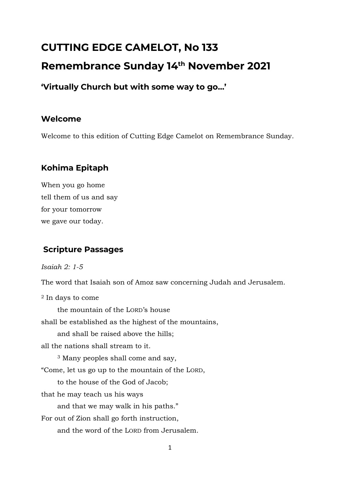# **CUTTING EDGE CAMELOT, No 133 Remembrance Sunday 14th November 2021**

**'Virtually Church but with some way to go…'**

# **Welcome**

Welcome to this edition of Cutting Edge Camelot on Remembrance Sunday.

# **Kohima Epitaph**

When you go home tell them of us and say for your tomorrow we gave our today.

# **Scripture Passages**

*Isaiah 2: 1-5*

The word that Isaiah son of Amoz saw concerning Judah and Jerusalem.

<sup>2</sup> In days to come

the mountain of the LORD's house

shall be established as the highest of the mountains,

and shall be raised above the hills;

all the nations shall stream to it.

<sup>3</sup> Many peoples shall come and say,

"Come, let us go up to the mountain of the LORD,

to the house of the God of Jacob;

that he may teach us his ways

and that we may walk in his paths."

For out of Zion shall go forth instruction,

and the word of the LORD from Jerusalem.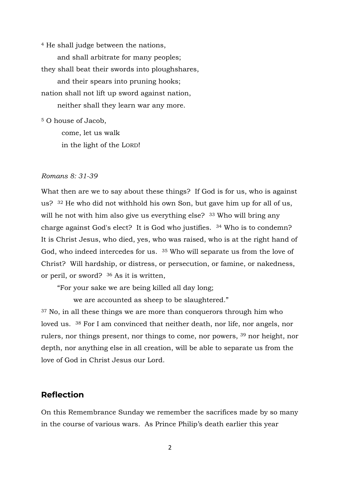<sup>4</sup> He shall judge between the nations, and shall arbitrate for many peoples; they shall beat their swords into ploughshares, and their spears into pruning hooks; nation shall not lift up sword against nation, neither shall they learn war any more.

<sup>5</sup> O house of Jacob,

come, let us walk in the light of the LORD!

#### *Romans 8: 31-39*

What then are we to say about these things? If God is for us, who is against us? <sup>32</sup> He who did not withhold his own Son, but gave him up for all of us, will he not with him also give us everything else? <sup>33</sup> Who will bring any charge against God's elect? It is God who justifies. <sup>34</sup> Who is to condemn? It is Christ Jesus, who died, yes, who was raised, who is at the right hand of God, who indeed intercedes for us. <sup>35</sup> Who will separate us from the love of Christ? Will hardship, or distress, or persecution, or famine, or nakedness, or peril, or sword? <sup>36</sup> As it is written,

"For your sake we are being killed all day long;

we are accounted as sheep to be slaughtered."

<sup>37</sup> No, in all these things we are more than conquerors through him who loved us. <sup>38</sup> For I am convinced that neither death, nor life, nor angels, nor rulers, nor things present, nor things to come, nor powers, <sup>39</sup> nor height, nor depth, nor anything else in all creation, will be able to separate us from the love of God in Christ Jesus our Lord.

#### **Reflection**

On this Remembrance Sunday we remember the sacrifices made by so many in the course of various wars. As Prince Philip's death earlier this year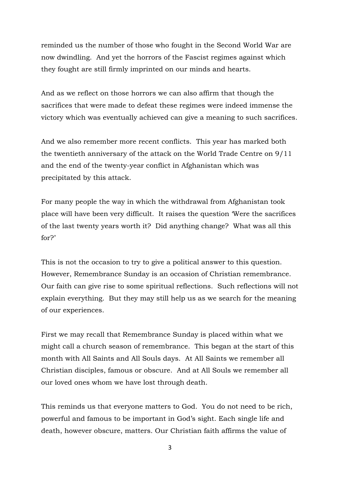reminded us the number of those who fought in the Second World War are now dwindling. And yet the horrors of the Fascist regimes against which they fought are still firmly imprinted on our minds and hearts.

And as we reflect on those horrors we can also affirm that though the sacrifices that were made to defeat these regimes were indeed immense the victory which was eventually achieved can give a meaning to such sacrifices.

And we also remember more recent conflicts. This year has marked both the twentieth anniversary of the attack on the World Trade Centre on 9/11 and the end of the twenty-year conflict in Afghanistan which was precipitated by this attack.

For many people the way in which the withdrawal from Afghanistan took place will have been very difficult. It raises the question 'Were the sacrifices of the last twenty years worth it? Did anything change? What was all this for?'

This is not the occasion to try to give a political answer to this question. However, Remembrance Sunday is an occasion of Christian remembrance. Our faith can give rise to some spiritual reflections. Such reflections will not explain everything. But they may still help us as we search for the meaning of our experiences.

First we may recall that Remembrance Sunday is placed within what we might call a church season of remembrance. This began at the start of this month with All Saints and All Souls days. At All Saints we remember all Christian disciples, famous or obscure. And at All Souls we remember all our loved ones whom we have lost through death.

This reminds us that everyone matters to God. You do not need to be rich, powerful and famous to be important in God's sight. Each single life and death, however obscure, matters. Our Christian faith affirms the value of

3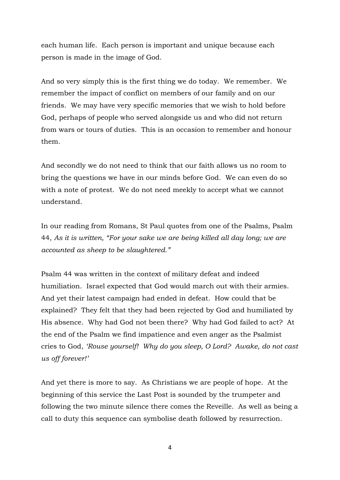each human life. Each person is important and unique because each person is made in the image of God.

And so very simply this is the first thing we do today. We remember. We remember the impact of conflict on members of our family and on our friends. We may have very specific memories that we wish to hold before God, perhaps of people who served alongside us and who did not return from wars or tours of duties. This is an occasion to remember and honour them.

And secondly we do not need to think that our faith allows us no room to bring the questions we have in our minds before God. We can even do so with a note of protest. We do not need meekly to accept what we cannot understand.

In our reading from Romans, St Paul quotes from one of the Psalms, Psalm 44, *As it is written, "For your sake we are being killed all day long; we are accounted as sheep to be slaughtered."*

Psalm 44 was written in the context of military defeat and indeed humiliation. Israel expected that God would march out with their armies. And yet their latest campaign had ended in defeat. How could that be explained? They felt that they had been rejected by God and humiliated by His absence. Why had God not been there? Why had God failed to act? At the end of the Psalm we find impatience and even anger as the Psalmist cries to God, *'Rouse yourself! Why do you sleep, O Lord? Awake, do not cast us off forever!'*

And yet there is more to say. As Christians we are people of hope. At the beginning of this service the Last Post is sounded by the trumpeter and following the two minute silence there comes the Reveille. As well as being a call to duty this sequence can symbolise death followed by resurrection.

4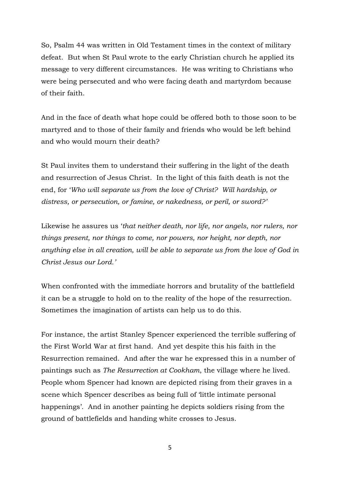So, Psalm 44 was written in Old Testament times in the context of military defeat. But when St Paul wrote to the early Christian church he applied its message to very different circumstances. He was writing to Christians who were being persecuted and who were facing death and martyrdom because of their faith.

And in the face of death what hope could be offered both to those soon to be martyred and to those of their family and friends who would be left behind and who would mourn their death?

St Paul invites them to understand their suffering in the light of the death and resurrection of Jesus Christ. In the light of this faith death is not the end, for '*Who will separate us from the love of Christ? Will hardship, or distress, or persecution, or famine, or nakedness, or peril, or sword?'*

Likewise he assures us '*that neither death, nor life, nor angels, nor rulers, nor things present, nor things to come, nor powers, nor height, nor depth, nor anything else in all creation, will be able to separate us from the love of God in Christ Jesus our Lord.'*

When confronted with the immediate horrors and brutality of the battlefield it can be a struggle to hold on to the reality of the hope of the resurrection. Sometimes the imagination of artists can help us to do this.

For instance, the artist Stanley Spencer experienced the terrible suffering of the First World War at first hand. And yet despite this his faith in the Resurrection remained. And after the war he expressed this in a number of paintings such as *The Resurrection at Cookham*, the village where he lived. People whom Spencer had known are depicted rising from their graves in a scene which Spencer describes as being full of 'little intimate personal happenings'. And in another painting he depicts soldiers rising from the ground of battlefields and handing white crosses to Jesus.

5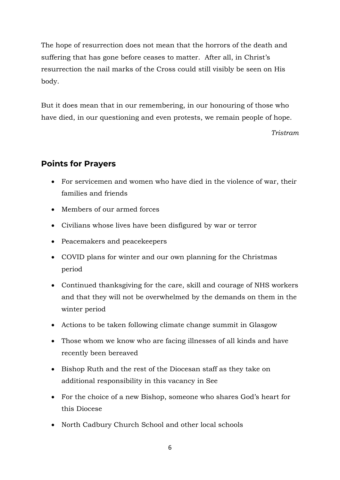The hope of resurrection does not mean that the horrors of the death and suffering that has gone before ceases to matter. After all, in Christ's resurrection the nail marks of the Cross could still visibly be seen on His body.

But it does mean that in our remembering, in our honouring of those who have died, in our questioning and even protests, we remain people of hope.

*Tristram*

### **Points for Prayers**

- For servicemen and women who have died in the violence of war, their families and friends
- Members of our armed forces
- Civilians whose lives have been disfigured by war or terror
- Peacemakers and peacekeepers
- COVID plans for winter and our own planning for the Christmas period
- Continued thanksgiving for the care, skill and courage of NHS workers and that they will not be overwhelmed by the demands on them in the winter period
- Actions to be taken following climate change summit in Glasgow
- Those whom we know who are facing illnesses of all kinds and have recently been bereaved
- Bishop Ruth and the rest of the Diocesan staff as they take on additional responsibility in this vacancy in See
- For the choice of a new Bishop, someone who shares God's heart for this Diocese
- North Cadbury Church School and other local schools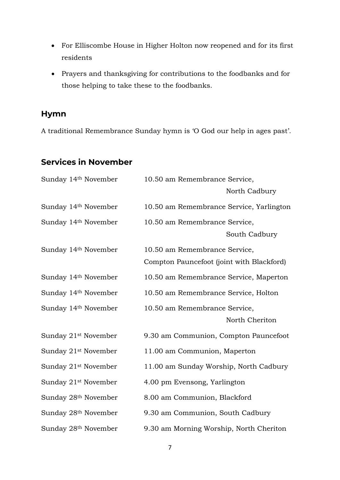- For Elliscombe House in Higher Holton now reopened and for its first residents
- Prayers and thanksgiving for contributions to the foodbanks and for those helping to take these to the foodbanks.

### **Hymn**

A traditional Remembrance Sunday hymn is 'O God our help in ages past'.

# **Services in November**

| Sunday 14th November             | 10.50 am Remembrance Service,             |
|----------------------------------|-------------------------------------------|
|                                  | North Cadbury                             |
| Sunday 14th November             | 10.50 am Remembrance Service, Yarlington  |
| Sunday 14th November             | 10.50 am Remembrance Service,             |
|                                  | South Cadbury                             |
| Sunday 14th November             | 10.50 am Remembrance Service,             |
|                                  | Compton Pauncefoot (joint with Blackford) |
| Sunday 14 <sup>th</sup> November | 10.50 am Remembrance Service, Maperton    |
| Sunday 14 <sup>th</sup> November | 10.50 am Remembrance Service, Holton      |
| Sunday 14th November             | 10.50 am Remembrance Service,             |
|                                  | North Cheriton                            |
| Sunday 21 <sup>st</sup> November | 9.30 am Communion, Compton Pauncefoot     |
| Sunday 21 <sup>st</sup> November | 11.00 am Communion, Maperton              |
| Sunday 21 <sup>st</sup> November | 11.00 am Sunday Worship, North Cadbury    |
| Sunday 21 <sup>st</sup> November | 4.00 pm Evensong, Yarlington              |
| Sunday 28th November             | 8.00 am Communion, Blackford              |
| Sunday 28 <sup>th</sup> November | 9.30 am Communion, South Cadbury          |
| Sunday 28 <sup>th</sup> November | 9.30 am Morning Worship, North Cheriton   |